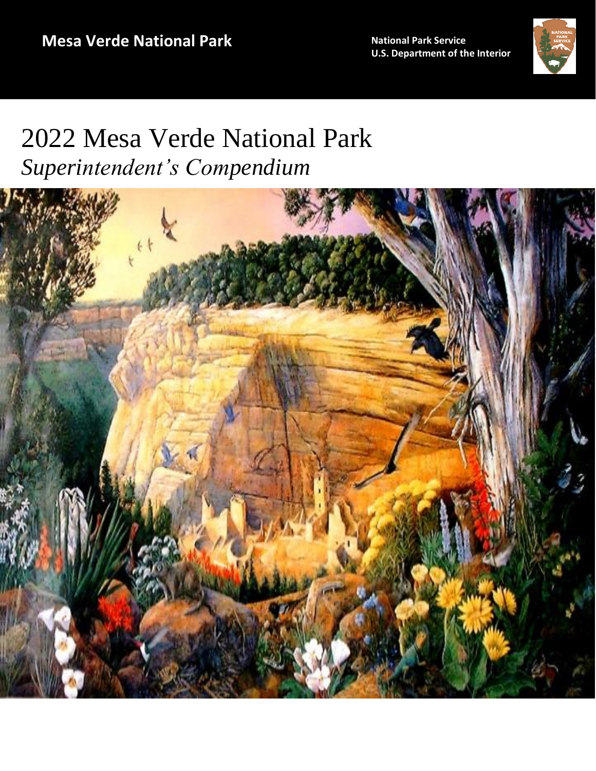**U .S. Department of the Interior ational Park Service**



# 2022 Mesa Verde National Park *Superintendent's Compendium*

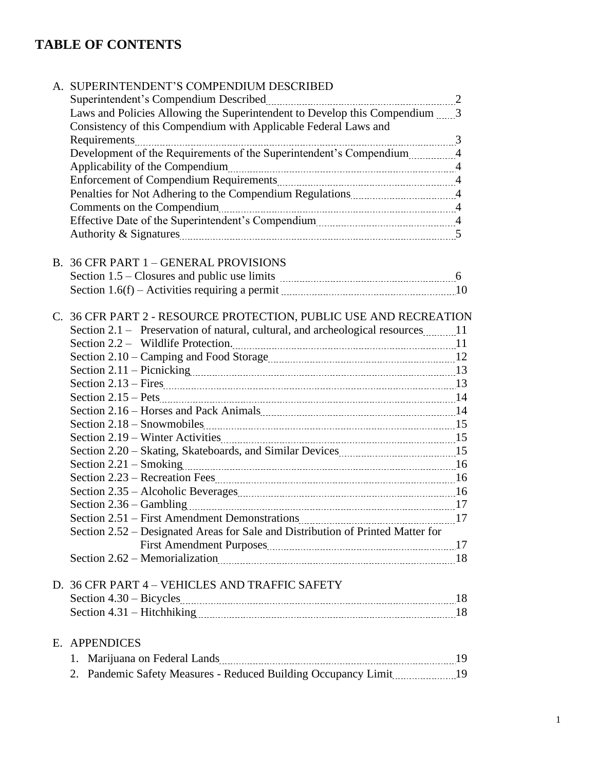# **TABLE OF CONTENTS**

| A. SUPERINTENDENT'S COMPENDIUM DESCRIBED                                                                                                                                                                                                                                                                                                         |  |
|--------------------------------------------------------------------------------------------------------------------------------------------------------------------------------------------------------------------------------------------------------------------------------------------------------------------------------------------------|--|
|                                                                                                                                                                                                                                                                                                                                                  |  |
| Laws and Policies Allowing the Superintendent to Develop this Compendium 3<br>Consistency of this Compendium with Applicable Federal Laws and                                                                                                                                                                                                    |  |
|                                                                                                                                                                                                                                                                                                                                                  |  |
| Development of the Requirements of the Superintendent's Compendium4                                                                                                                                                                                                                                                                              |  |
| Applicability of the Compendium manuscrittic and the Compendium manuscrittic and the Compendium manuscrittic and the Applicability of the Compendium manuscrittic and 4                                                                                                                                                                          |  |
|                                                                                                                                                                                                                                                                                                                                                  |  |
|                                                                                                                                                                                                                                                                                                                                                  |  |
|                                                                                                                                                                                                                                                                                                                                                  |  |
|                                                                                                                                                                                                                                                                                                                                                  |  |
|                                                                                                                                                                                                                                                                                                                                                  |  |
|                                                                                                                                                                                                                                                                                                                                                  |  |
| B. 36 CFR PART 1 - GENERAL PROVISIONS                                                                                                                                                                                                                                                                                                            |  |
|                                                                                                                                                                                                                                                                                                                                                  |  |
| Section 1.6(f) – Activities requiring a permit <i>manufacture and not</i> and 10                                                                                                                                                                                                                                                                 |  |
| C. 36 CFR PART 2 - RESOURCE PROTECTION, PUBLIC USE AND RECREATION<br>Section 2.1 – Preservation of natural, cultural, and archeological resources 11<br>Section 2.11 – Picnicking manual manual manual manual manual manual 13<br>Section 2.19 – Winter Activities 2000 material contracts and the Winter Activities 2.19 – Winter Activities 2. |  |
|                                                                                                                                                                                                                                                                                                                                                  |  |
|                                                                                                                                                                                                                                                                                                                                                  |  |
|                                                                                                                                                                                                                                                                                                                                                  |  |
|                                                                                                                                                                                                                                                                                                                                                  |  |
| Section 2.52 – Designated Areas for Sale and Distribution of Printed Matter for                                                                                                                                                                                                                                                                  |  |
|                                                                                                                                                                                                                                                                                                                                                  |  |
| Section 2.62 - Memorialization manually and the section 2.62 - Memorialization manually and the section 2.62 -                                                                                                                                                                                                                                   |  |
| D. 36 CFR PART 4 - VEHICLES AND TRAFFIC SAFETY                                                                                                                                                                                                                                                                                                   |  |
|                                                                                                                                                                                                                                                                                                                                                  |  |
|                                                                                                                                                                                                                                                                                                                                                  |  |
|                                                                                                                                                                                                                                                                                                                                                  |  |
| E. APPENDICES                                                                                                                                                                                                                                                                                                                                    |  |
| 1.                                                                                                                                                                                                                                                                                                                                               |  |
| 2.                                                                                                                                                                                                                                                                                                                                               |  |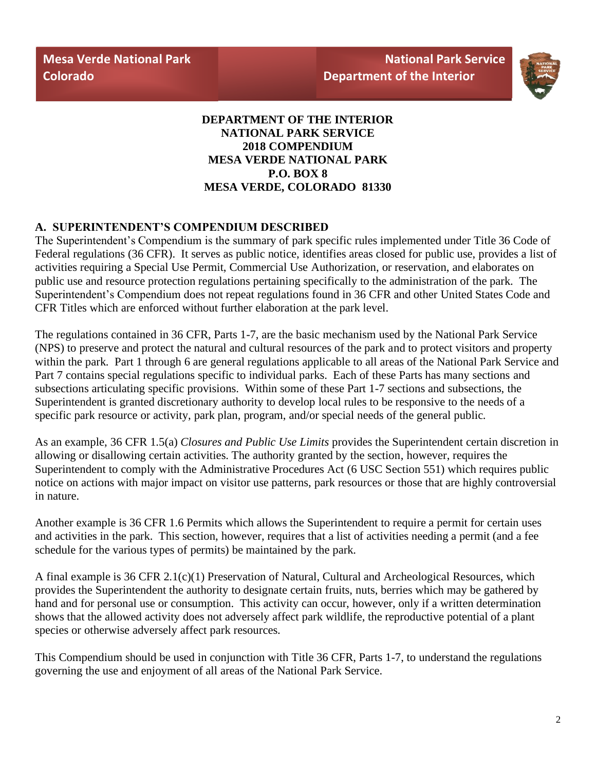**Mesa Verde National Park Colorado**



**DEPARTMENT OF THE INTERIOR NATIONAL PARK SERVICE 2018 COMPENDIUM MESA VERDE NATIONAL PARK P.O. BOX 8 MESA VERDE, COLORADO 81330**

#### **A. SUPERINTENDENT'S COMPENDIUM DESCRIBED**

The Superintendent's Compendium is the summary of park specific rules implemented under Title 36 Code of Federal regulations (36 CFR). It serves as public notice, identifies areas closed for public use, provides a list of activities requiring a Special Use Permit, Commercial Use Authorization, or reservation, and elaborates on public use and resource protection regulations pertaining specifically to the administration of the park. The Superintendent's Compendium does not repeat regulations found in 36 CFR and other United States Code and CFR Titles which are enforced without further elaboration at the park level.

The regulations contained in 36 CFR, Parts 1-7, are the basic mechanism used by the National Park Service (NPS) to preserve and protect the natural and cultural resources of the park and to protect visitors and property within the park. Part 1 through 6 are general regulations applicable to all areas of the National Park Service and Part 7 contains special regulations specific to individual parks. Each of these Parts has many sections and subsections articulating specific provisions. Within some of these Part 1-7 sections and subsections, the Superintendent is granted discretionary authority to develop local rules to be responsive to the needs of a specific park resource or activity, park plan, program, and/or special needs of the general public.

As an example, 36 CFR 1.5(a) *Closures and Public Use Limits* provides the Superintendent certain discretion in allowing or disallowing certain activities. The authority granted by the section, however, requires the Superintendent to comply with the Administrative Procedures Act (6 USC Section 551) which requires public notice on actions with major impact on visitor use patterns, park resources or those that are highly controversial in nature.

Another example is 36 CFR 1.6 Permits which allows the Superintendent to require a permit for certain uses and activities in the park. This section, however, requires that a list of activities needing a permit (and a fee schedule for the various types of permits) be maintained by the park.

A final example is 36 CFR 2.1(c)(1) Preservation of Natural, Cultural and Archeological Resources, which provides the Superintendent the authority to designate certain fruits, nuts, berries which may be gathered by hand and for personal use or consumption. This activity can occur, however, only if a written determination shows that the allowed activity does not adversely affect park wildlife, the reproductive potential of a plant species or otherwise adversely affect park resources.

This Compendium should be used in conjunction with Title 36 CFR, Parts 1-7, to understand the regulations governing the use and enjoyment of all areas of the National Park Service.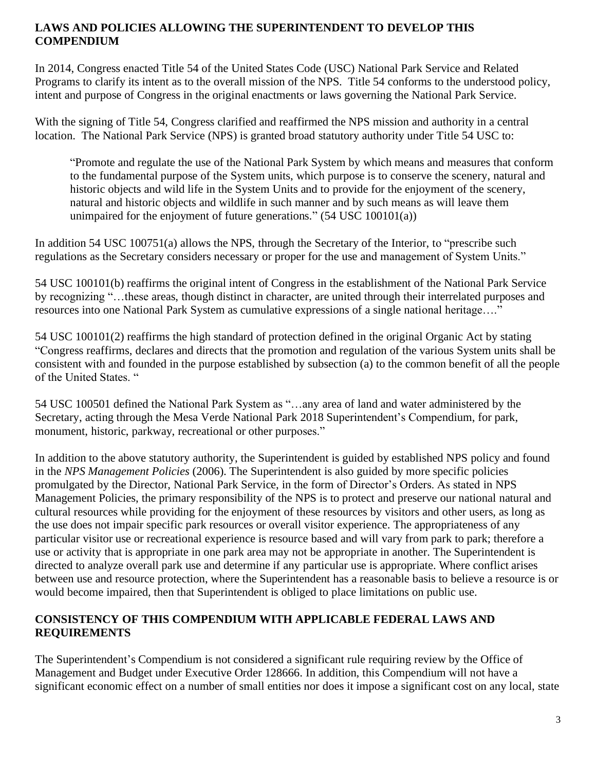#### **LAWS AND POLICIES ALLOWING THE SUPERINTENDENT TO DEVELOP THIS COMPENDIUM**

In 2014, Congress enacted Title 54 of the United States Code (USC) National Park Service and Related Programs to clarify its intent as to the overall mission of the NPS. Title 54 conforms to the understood policy, intent and purpose of Congress in the original enactments or laws governing the National Park Service.

With the signing of Title 54, Congress clarified and reaffirmed the NPS mission and authority in a central location. The National Park Service (NPS) is granted broad statutory authority under Title 54 USC to:

"Promote and regulate the use of the National Park System by which means and measures that conform to the fundamental purpose of the System units, which purpose is to conserve the scenery, natural and historic objects and wild life in the System Units and to provide for the enjoyment of the scenery, natural and historic objects and wildlife in such manner and by such means as will leave them unimpaired for the enjoyment of future generations." (54 USC 100101(a))

In addition 54 USC 100751(a) allows the NPS, through the Secretary of the Interior, to "prescribe such regulations as the Secretary considers necessary or proper for the use and management of System Units."

54 USC 100101(b) reaffirms the original intent of Congress in the establishment of the National Park Service by recognizing "…these areas, though distinct in character, are united through their interrelated purposes and resources into one National Park System as cumulative expressions of a single national heritage…."

54 USC 100101(2) reaffirms the high standard of protection defined in the original Organic Act by stating "Congress reaffirms, declares and directs that the promotion and regulation of the various System units shall be consistent with and founded in the purpose established by subsection (a) to the common benefit of all the people of the United States. "

54 USC 100501 defined the National Park System as "…any area of land and water administered by the Secretary, acting through the Mesa Verde National Park 2018 Superintendent's Compendium, for park, monument, historic, parkway, recreational or other purposes."

In addition to the above statutory authority, the Superintendent is guided by established NPS policy and found in the *NPS Management Policies* (2006). The Superintendent is also guided by more specific policies promulgated by the Director, National Park Service, in the form of Director's Orders. As stated in NPS Management Policies, the primary responsibility of the NPS is to protect and preserve our national natural and cultural resources while providing for the enjoyment of these resources by visitors and other users, as long as the use does not impair specific park resources or overall visitor experience. The appropriateness of any particular visitor use or recreational experience is resource based and will vary from park to park; therefore a use or activity that is appropriate in one park area may not be appropriate in another. The Superintendent is directed to analyze overall park use and determine if any particular use is appropriate. Where conflict arises between use and resource protection, where the Superintendent has a reasonable basis to believe a resource is or would become impaired, then that Superintendent is obliged to place limitations on public use.

#### **CONSISTENCY OF THIS COMPENDIUM WITH APPLICABLE FEDERAL LAWS AND REQUIREMENTS**

The Superintendent's Compendium is not considered a significant rule requiring review by the Office of Management and Budget under Executive Order 128666. In addition, this Compendium will not have a significant economic effect on a number of small entities nor does it impose a significant cost on any local, state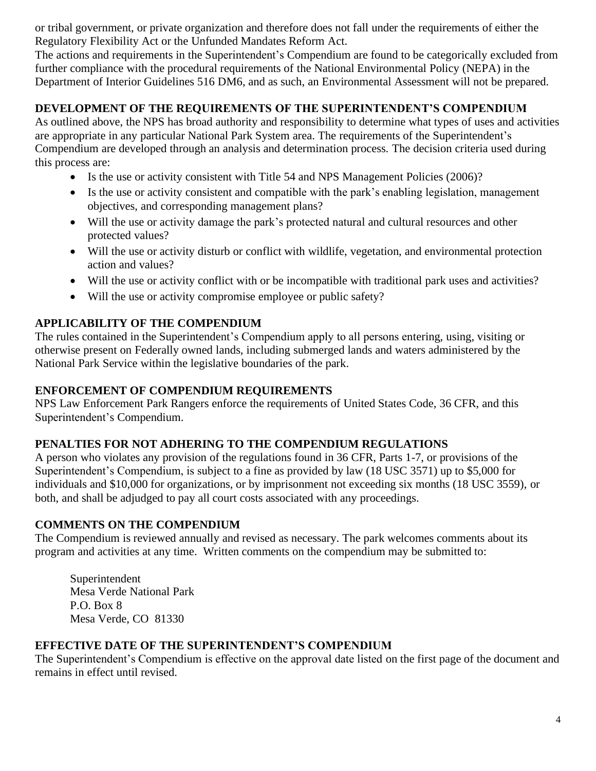or tribal government, or private organization and therefore does not fall under the requirements of either the Regulatory Flexibility Act or the Unfunded Mandates Reform Act.

The actions and requirements in the Superintendent's Compendium are found to be categorically excluded from further compliance with the procedural requirements of the National Environmental Policy (NEPA) in the Department of Interior Guidelines 516 DM6, and as such, an Environmental Assessment will not be prepared.

## **DEVELOPMENT OF THE REQUIREMENTS OF THE SUPERINTENDENT'S COMPENDIUM**

As outlined above, the NPS has broad authority and responsibility to determine what types of uses and activities are appropriate in any particular National Park System area. The requirements of the Superintendent's Compendium are developed through an analysis and determination process. The decision criteria used during this process are:

- Is the use or activity consistent with Title 54 and NPS Management Policies (2006)?
- Is the use or activity consistent and compatible with the park's enabling legislation, management objectives, and corresponding management plans?
- Will the use or activity damage the park's protected natural and cultural resources and other protected values?
- Will the use or activity disturb or conflict with wildlife, vegetation, and environmental protection action and values?
- Will the use or activity conflict with or be incompatible with traditional park uses and activities?
- Will the use or activity compromise employee or public safety?

#### **APPLICABILITY OF THE COMPENDIUM**

The rules contained in the Superintendent's Compendium apply to all persons entering, using, visiting or otherwise present on Federally owned lands, including submerged lands and waters administered by the National Park Service within the legislative boundaries of the park.

#### **ENFORCEMENT OF COMPENDIUM REQUIREMENTS**

NPS Law Enforcement Park Rangers enforce the requirements of United States Code, 36 CFR, and this Superintendent's Compendium.

#### **PENALTIES FOR NOT ADHERING TO THE COMPENDIUM REGULATIONS**

A person who violates any provision of the regulations found in 36 CFR, Parts 1-7, or provisions of the Superintendent's Compendium, is subject to a fine as provided by law (18 USC 3571) up to \$5,000 for individuals and \$10,000 for organizations, or by imprisonment not exceeding six months (18 USC 3559), or both, and shall be adjudged to pay all court costs associated with any proceedings.

#### **COMMENTS ON THE COMPENDIUM**

The Compendium is reviewed annually and revised as necessary. The park welcomes comments about its program and activities at any time. Written comments on the compendium may be submitted to:

Superintendent Mesa Verde National Park P.O. Box 8 Mesa Verde, CO 81330

#### **EFFECTIVE DATE OF THE SUPERINTENDENT'S COMPENDIUM**

The Superintendent's Compendium is effective on the approval date listed on the first page of the document and remains in effect until revised.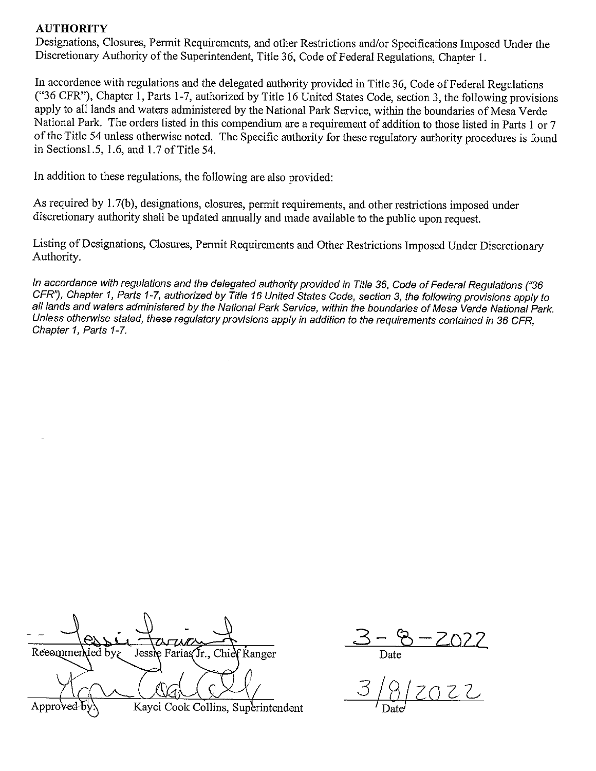#### **AUTHORITY**

Designations, Closures, Permit Requirements, and other Restrictions and/or Specifications Imposed Under the Discretionary Authority of the Superintendent, Title 36, Code of Federal Regulations, Chapter 1.

In accordance with regulations and the delegated authority provided in Title 36, Code of Federal Regulations ("36 CFR"), Chapter 1, Parts 1-7, authorized by Title 16 United States Code, section 3, the following provisions apply to all lands and waters administered by the National Park Service, within the boundaries of Mesa Verde National Park. The orders listed in this compendium are a requirement of addition to those listed in Parts 1 or 7 of the Title 54 unless otherwise noted. The Specific authority for these regulatory authority procedures is found in Sections  $1.5$ ,  $1.6$ , and  $1.7$  of Title  $54$ .

In addition to these regulations, the following are also provided:

As required by 1.7(b), designations, closures, permit requirements, and other restrictions imposed under discretionary authority shall be updated annually and made available to the public upon request.

Listing of Designations, Closures, Permit Requirements and Other Restrictions Imposed Under Discretionary Authority.

In accordance with regulations and the delegated authority provided in Title 36, Code of Federal Regulations ("36 CFR"), Chapter 1, Parts 1-7, authorized by Title 16 United States Code, section 3, the following provisions apply to all lands and waters administered by the National Park Service, within the boundaries of Mesa Verde National Park. Unless otherwise stated, these requlatory provisions apply in addition to the requirements contained in 36 CFR, Chapter 1, Parts 1-7.

| Reeommended by $\zeta$ | Jessie Farias Jr., Chief Ranger |                                    |
|------------------------|---------------------------------|------------------------------------|
|                        |                                 |                                    |
| Approved by            |                                 | Kayci Cook Collins, Superintendent |

 $3-8-2022$ <br>Date<br>3/8/2022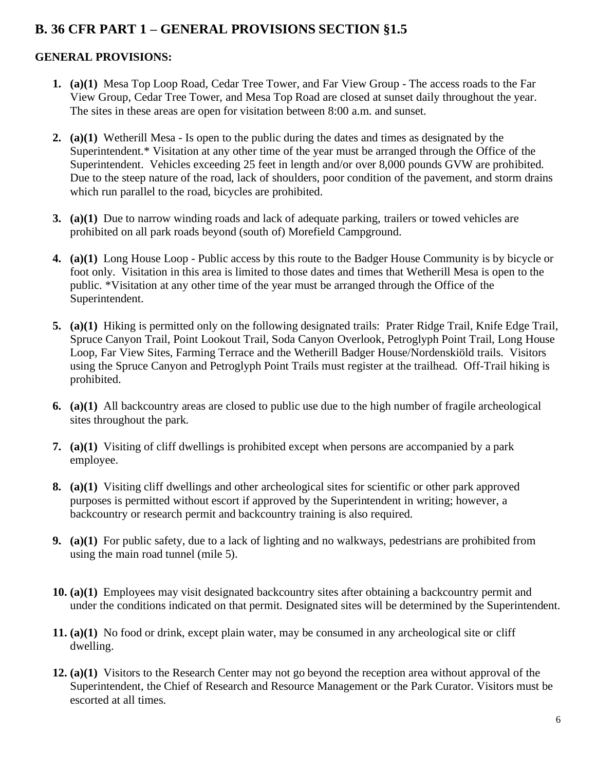# **B. 36 CFR PART 1 – GENERAL PROVISIONS SECTION §1.5**

## **GENERAL PROVISIONS:**

- **1. (a)(1)** Mesa Top Loop Road, Cedar Tree Tower, and Far View Group The access roads to the Far View Group, Cedar Tree Tower, and Mesa Top Road are closed at sunset daily throughout the year. The sites in these areas are open for visitation between 8:00 a.m. and sunset.
- **2. (a)(1)** Wetherill Mesa Is open to the public during the dates and times as designated by the Superintendent.\* Visitation at any other time of the year must be arranged through the Office of the Superintendent. Vehicles exceeding 25 feet in length and/or over 8,000 pounds GVW are prohibited. Due to the steep nature of the road, lack of shoulders, poor condition of the pavement, and storm drains which run parallel to the road, bicycles are prohibited.
- **3. (a)(1)** Due to narrow winding roads and lack of adequate parking, trailers or towed vehicles are prohibited on all park roads beyond (south of) Morefield Campground.
- **4. (a)(1)** Long House Loop Public access by this route to the Badger House Community is by bicycle or foot only. Visitation in this area is limited to those dates and times that Wetherill Mesa is open to the public. \*Visitation at any other time of the year must be arranged through the Office of the Superintendent.
- **5. (a)(1)** Hiking is permitted only on the following designated trails: Prater Ridge Trail, Knife Edge Trail, Spruce Canyon Trail, Point Lookout Trail, Soda Canyon Overlook, Petroglyph Point Trail, Long House Loop, Far View Sites, Farming Terrace and the Wetherill Badger House/Nordenskiöld trails. Visitors using the Spruce Canyon and Petroglyph Point Trails must register at the trailhead. Off-Trail hiking is prohibited.
- **6. (a)(1)** All backcountry areas are closed to public use due to the high number of fragile archeological sites throughout the park.
- **7. (a)(1)** Visiting of cliff dwellings is prohibited except when persons are accompanied by a park employee.
- **8. (a)(1)** Visiting cliff dwellings and other archeological sites for scientific or other park approved purposes is permitted without escort if approved by the Superintendent in writing; however, a backcountry or research permit and backcountry training is also required.
- **9. (a)(1)** For public safety, due to a lack of lighting and no walkways, pedestrians are prohibited from using the main road tunnel (mile 5).
- **10. (a)(1)** Employees may visit designated backcountry sites after obtaining a backcountry permit and under the conditions indicated on that permit. Designated sites will be determined by the Superintendent.
- **11. (a)(1)** No food or drink, except plain water, may be consumed in any archeological site or cliff dwelling.
- **12. (a)(1)** Visitors to the Research Center may not go beyond the reception area without approval of the Superintendent, the Chief of Research and Resource Management or the Park Curator. Visitors must be escorted at all times.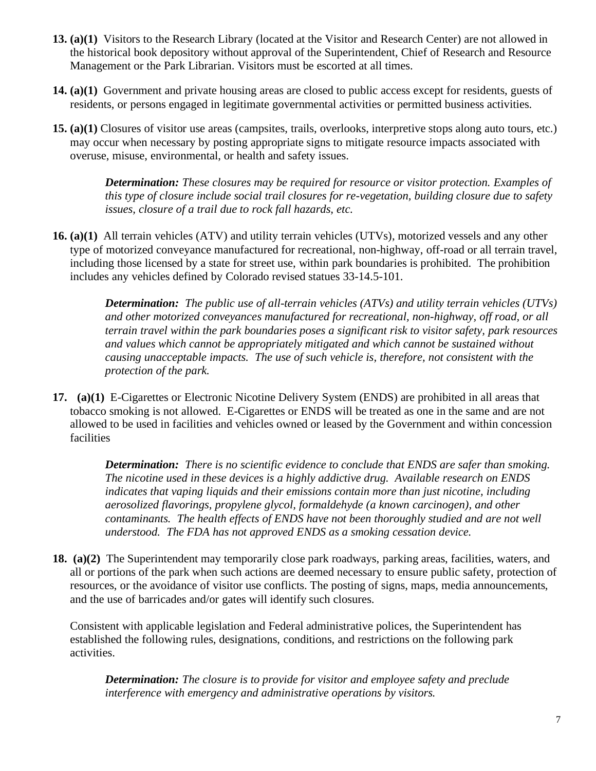- **13. (a)(1)** Visitors to the Research Library (located at the Visitor and Research Center) are not allowed in the historical book depository without approval of the Superintendent, Chief of Research and Resource Management or the Park Librarian. Visitors must be escorted at all times.
- **14. (a)(1)** Government and private housing areas are closed to public access except for residents, guests of residents, or persons engaged in legitimate governmental activities or permitted business activities.
- **15. (a)(1)** Closures of visitor use areas (campsites, trails, overlooks, interpretive stops along auto tours, etc.) may occur when necessary by posting appropriate signs to mitigate resource impacts associated with overuse, misuse, environmental, or health and safety issues.

*Determination: These closures may be required for resource or visitor protection. Examples of this type of closure include social trail closures for re-vegetation, building closure due to safety issues, closure of a trail due to rock fall hazards, etc.*

**16. (a)(1)** All terrain vehicles (ATV) and utility terrain vehicles (UTVs), motorized vessels and any other type of motorized conveyance manufactured for recreational, non-highway, off-road or all terrain travel, including those licensed by a state for street use, within park boundaries is prohibited. The prohibition includes any vehicles defined by Colorado revised statues 33-14.5-101.

> *Determination: The public use of all-terrain vehicles (ATVs) and utility terrain vehicles (UTVs) and other motorized conveyances manufactured for recreational, non-highway, off road, or all terrain travel within the park boundaries poses a significant risk to visitor safety, park resources and values which cannot be appropriately mitigated and which cannot be sustained without causing unacceptable impacts. The use of such vehicle is, therefore, not consistent with the protection of the park.*

**17. (a)(1)** E-Cigarettes or Electronic Nicotine Delivery System (ENDS) are prohibited in all areas that tobacco smoking is not allowed. E-Cigarettes or ENDS will be treated as one in the same and are not allowed to be used in facilities and vehicles owned or leased by the Government and within concession facilities

> *Determination: There is no scientific evidence to conclude that ENDS are safer than smoking. The nicotine used in these devices is a highly addictive drug. Available research on ENDS indicates that vaping liquids and their emissions contain more than just nicotine, including aerosolized flavorings, propylene glycol, formaldehyde (a known carcinogen), and other contaminants. The health effects of ENDS have not been thoroughly studied and are not well understood. The FDA has not approved ENDS as a smoking cessation device.*

**18. (a)(2)** The Superintendent may temporarily close park roadways, parking areas, facilities, waters, and all or portions of the park when such actions are deemed necessary to ensure public safety, protection of resources, or the avoidance of visitor use conflicts. The posting of signs, maps, media announcements, and the use of barricades and/or gates will identify such closures.

Consistent with applicable legislation and Federal administrative polices, the Superintendent has established the following rules, designations, conditions, and restrictions on the following park activities.

*Determination: The closure is to provide for visitor and employee safety and preclude interference with emergency and administrative operations by visitors.*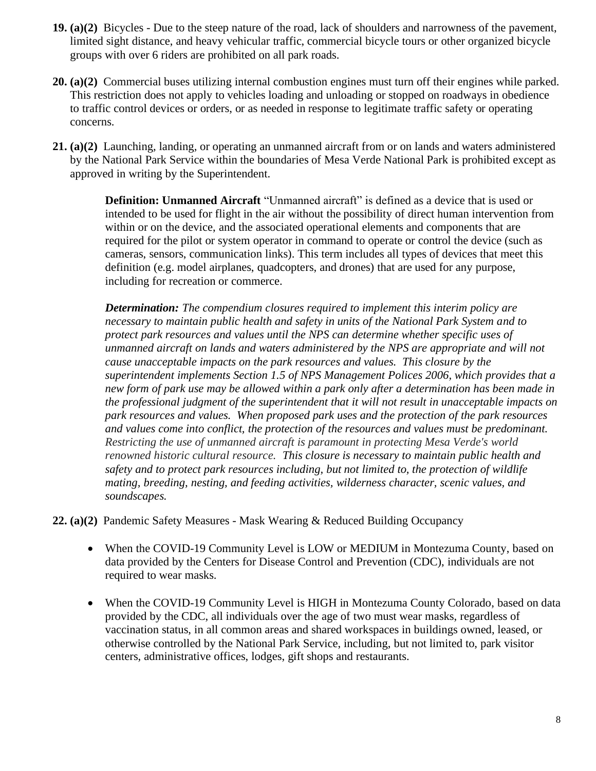- **19. (a)(2)** Bicycles Due to the steep nature of the road, lack of shoulders and narrowness of the pavement, limited sight distance, and heavy vehicular traffic, commercial bicycle tours or other organized bicycle groups with over 6 riders are prohibited on all park roads.
- **20. (a)(2)** Commercial buses utilizing internal combustion engines must turn off their engines while parked. This restriction does not apply to vehicles loading and unloading or stopped on roadways in obedience to traffic control devices or orders, or as needed in response to legitimate traffic safety or operating concerns.
- **21. (a)(2)** Launching, landing, or operating an unmanned aircraft from or on lands and waters administered by the National Park Service within the boundaries of Mesa Verde National Park is prohibited except as approved in writing by the Superintendent.

**Definition: Unmanned Aircraft** "Unmanned aircraft" is defined as a device that is used or intended to be used for flight in the air without the possibility of direct human intervention from within or on the device, and the associated operational elements and components that are required for the pilot or system operator in command to operate or control the device (such as cameras, sensors, communication links). This term includes all types of devices that meet this definition (e.g. model airplanes, quadcopters, and drones) that are used for any purpose, including for recreation or commerce.

*Determination: The compendium closures required to implement this interim policy are necessary to maintain public health and safety in units of the National Park System and to protect park resources and values until the NPS can determine whether specific uses of unmanned aircraft on lands and waters administered by the NPS are appropriate and will not cause unacceptable impacts on the park resources and values. This closure by the superintendent implements Section 1.5 of NPS Management Polices 2006, which provides that a new form of park use may be allowed within a park only after a determination has been made in the professional judgment of the superintendent that it will not result in unacceptable impacts on park resources and values. When proposed park uses and the protection of the park resources and values come into conflict, the protection of the resources and values must be predominant. Restricting the use of unmanned aircraft is paramount in protecting Mesa Verde's world renowned historic cultural resource. This closure is necessary to maintain public health and safety and to protect park resources including, but not limited to, the protection of wildlife mating, breeding, nesting, and feeding activities, wilderness character, scenic values, and soundscapes.*

**22. (a)(2)** Pandemic Safety Measures - Mask Wearing & Reduced Building Occupancy

- When the COVID-19 Community Level is LOW or MEDIUM in Montezuma County, based on data provided by the Centers for Disease Control and Prevention (CDC), individuals are not required to wear masks.
- When the COVID-19 Community Level is HIGH in Montezuma County Colorado, based on data provided by the CDC, all individuals over the age of two must wear masks, regardless of vaccination status, in all common areas and shared workspaces in buildings owned, leased, or otherwise controlled by the National Park Service, including, but not limited to, park visitor centers, administrative offices, lodges, gift shops and restaurants.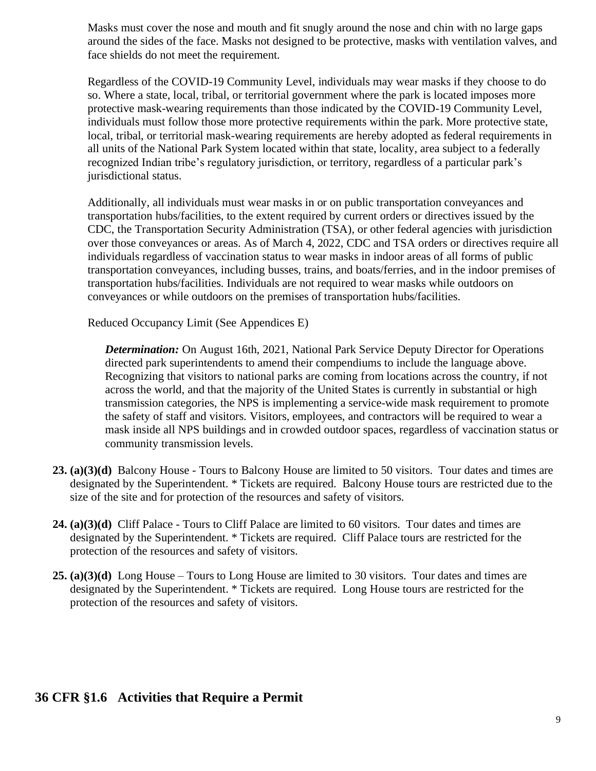Masks must cover the nose and mouth and fit snugly around the nose and chin with no large gaps around the sides of the face. Masks not designed to be protective, masks with ventilation valves, and face shields do not meet the requirement.

Regardless of the COVID-19 Community Level, individuals may wear masks if they choose to do so. Where a state, local, tribal, or territorial government where the park is located imposes more protective mask-wearing requirements than those indicated by the COVID-19 Community Level, individuals must follow those more protective requirements within the park. More protective state, local, tribal, or territorial mask-wearing requirements are hereby adopted as federal requirements in all units of the National Park System located within that state, locality, area subject to a federally recognized Indian tribe's regulatory jurisdiction, or territory, regardless of a particular park's jurisdictional status.

Additionally, all individuals must wear masks in or on public transportation conveyances and transportation hubs/facilities, to the extent required by current orders or directives issued by the CDC, the Transportation Security Administration (TSA), or other federal agencies with jurisdiction over those conveyances or areas. As of March 4, 2022, CDC and TSA orders or directives require all individuals regardless of vaccination status to wear masks in indoor areas of all forms of public transportation conveyances, including busses, trains, and boats/ferries, and in the indoor premises of transportation hubs/facilities. Individuals are not required to wear masks while outdoors on conveyances or while outdoors on the premises of transportation hubs/facilities.

Reduced Occupancy Limit (See Appendices E)

*Determination:* On August 16th, 2021, National Park Service Deputy Director for Operations directed park superintendents to amend their compendiums to include the language above. Recognizing that visitors to national parks are coming from locations across the country, if not across the world, and that the majority of the United States is currently in substantial or high transmission categories, the NPS is implementing a service-wide mask requirement to promote the safety of staff and visitors. Visitors, employees, and contractors will be required to wear a mask inside all NPS buildings and in crowded outdoor spaces, regardless of vaccination status or community transmission levels.

- **23. (a)(3)(d)** Balcony House Tours to Balcony House are limited to 50 visitors. Tour dates and times are designated by the Superintendent. \* Tickets are required. Balcony House tours are restricted due to the size of the site and for protection of the resources and safety of visitors.
- **24. (a)(3)(d)** Cliff Palace Tours to Cliff Palace are limited to 60 visitors. Tour dates and times are designated by the Superintendent. \* Tickets are required. Cliff Palace tours are restricted for the protection of the resources and safety of visitors.
- **25. (a)(3)(d)** Long House Tours to Long House are limited to 30 visitors. Tour dates and times are designated by the Superintendent. \* Tickets are required. Long House tours are restricted for the protection of the resources and safety of visitors.

## **36 CFR §1.6 Activities that Require a Permit**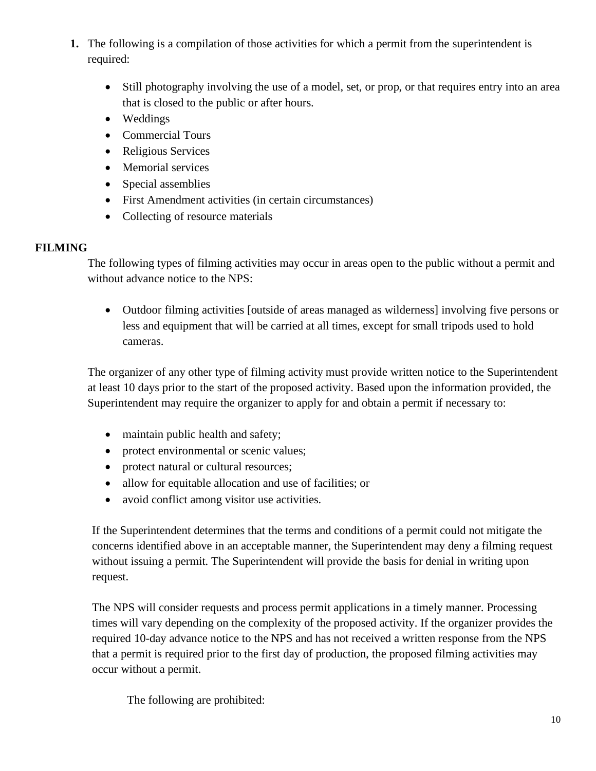- **1.** The following is a compilation of those activities for which a permit from the superintendent is required:
	- Still photography involving the use of a model, set, or prop, or that requires entry into an area that is closed to the public or after hours.
	- Weddings
	- Commercial Tours
	- Religious Services
	- Memorial services
	- Special assemblies
	- First Amendment activities (in certain circumstances)
	- Collecting of resource materials

#### **FILMING**

The following types of filming activities may occur in areas open to the public without a permit and without advance notice to the NPS:

• Outdoor filming activities [outside of areas managed as wilderness] involving five persons or less and equipment that will be carried at all times, except for small tripods used to hold cameras.

The organizer of any other type of filming activity must provide written notice to the Superintendent at least 10 days prior to the start of the proposed activity. Based upon the information provided, the Superintendent may require the organizer to apply for and obtain a permit if necessary to:

- maintain public health and safety;
- protect environmental or scenic values;
- protect natural or cultural resources;
- allow for equitable allocation and use of facilities; or
- avoid conflict among visitor use activities.

If the Superintendent determines that the terms and conditions of a permit could not mitigate the concerns identified above in an acceptable manner, the Superintendent may deny a filming request without issuing a permit. The Superintendent will provide the basis for denial in writing upon request.

The NPS will consider requests and process permit applications in a timely manner. Processing times will vary depending on the complexity of the proposed activity. If the organizer provides the required 10-day advance notice to the NPS and has not received a written response from the NPS that a permit is required prior to the first day of production, the proposed filming activities may occur without a permit.

The following are prohibited: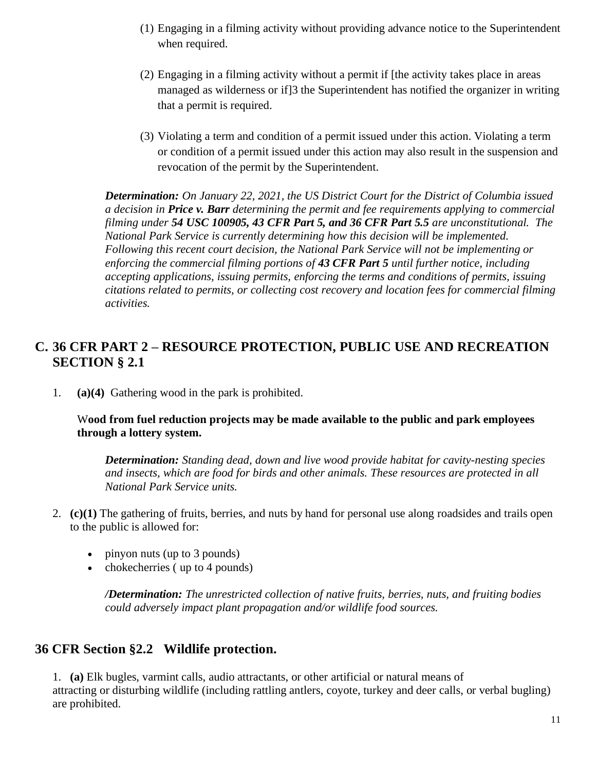- (1) Engaging in a filming activity without providing advance notice to the Superintendent when required.
- (2) Engaging in a filming activity without a permit if [the activity takes place in areas managed as wilderness or if]3 the Superintendent has notified the organizer in writing that a permit is required.
- (3) Violating a term and condition of a permit issued under this action. Violating a term or condition of a permit issued under this action may also result in the suspension and revocation of the permit by the Superintendent.

*Determination: On January 22, 2021, the US District Court for the District of Columbia issued a decision in Price v. Barr determining the permit and fee requirements applying to commercial filming under 54 USC 100905, 43 CFR Part 5, and 36 CFR Part 5.5 are unconstitutional. The National Park Service is currently determining how this decision will be implemented. Following this recent court decision, the National Park Service will not be implementing or enforcing the commercial filming portions of 43 CFR Part 5 until further notice, including accepting applications, issuing permits, enforcing the terms and conditions of permits, issuing citations related to permits, or collecting cost recovery and location fees for commercial filming activities.* 

# **C. 36 CFR PART 2 – RESOURCE PROTECTION, PUBLIC USE AND RECREATION SECTION § 2.1**

1. **(a)(4)** Gathering wood in the park is prohibited.

#### W**ood from fuel reduction projects may be made available to the public and park employees through a lottery system.**

*Determination: Standing dead, down and live wood provide habitat for cavity-nesting species and insects, which are food for birds and other animals. These resources are protected in all National Park Service units.*

- 2. **(c)(1)** The gathering of fruits, berries, and nuts by hand for personal use along roadsides and trails open to the public is allowed for:
	- pinyon nuts (up to 3 pounds)
	- chokecherries (up to 4 pounds)

*/Determination: The unrestricted collection of native fruits, berries, nuts, and fruiting bodies could adversely impact plant propagation and/or wildlife food sources.* 

# **36 CFR Section §2.2 Wildlife protection.**

1. **(a)** Elk bugles, varmint calls, audio attractants, or other artificial or natural means of attracting or disturbing wildlife (including rattling antlers, coyote, turkey and deer calls, or verbal bugling) are prohibited.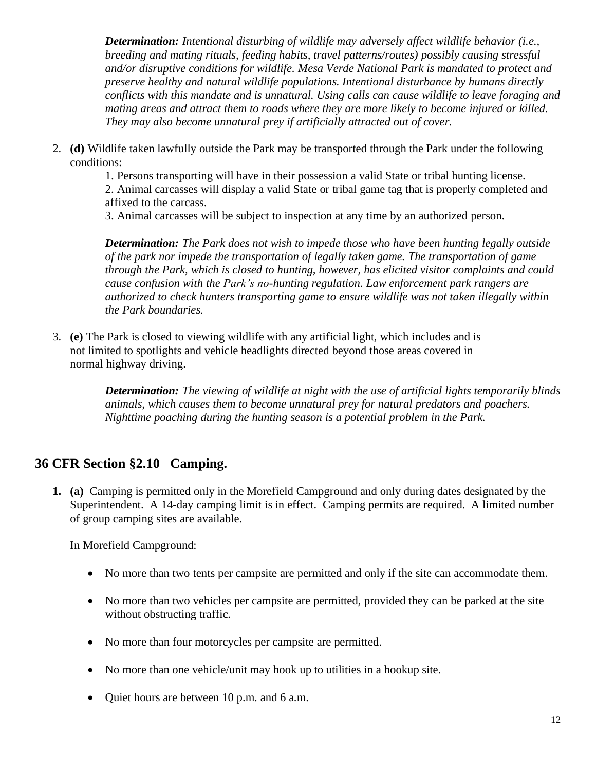*Determination: Intentional disturbing of wildlife may adversely affect wildlife behavior (i.e., breeding and mating rituals, feeding habits, travel patterns/routes) possibly causing stressful and/or disruptive conditions for wildlife. Mesa Verde National Park is mandated to protect and preserve healthy and natural wildlife populations. Intentional disturbance by humans directly conflicts with this mandate and is unnatural. Using calls can cause wildlife to leave foraging and mating areas and attract them to roads where they are more likely to become injured or killed. They may also become unnatural prey if artificially attracted out of cover.*

2. **(d)** Wildlife taken lawfully outside the Park may be transported through the Park under the following conditions:

1. Persons transporting will have in their possession a valid State or tribal hunting license.

2. Animal carcasses will display a valid State or tribal game tag that is properly completed and affixed to the carcass.

3. Animal carcasses will be subject to inspection at any time by an authorized person.

*Determination: The Park does not wish to impede those who have been hunting legally outside of the park nor impede the transportation of legally taken game. The transportation of game through the Park, which is closed to hunting, however, has elicited visitor complaints and could cause confusion with the Park's no-hunting regulation. Law enforcement park rangers are authorized to check hunters transporting game to ensure wildlife was not taken illegally within the Park boundaries.*

3. **(e)** The Park is closed to viewing wildlife with any artificial light, which includes and is not limited to spotlights and vehicle headlights directed beyond those areas covered in normal highway driving.

> *Determination: The viewing of wildlife at night with the use of artificial lights temporarily blinds animals, which causes them to become unnatural prey for natural predators and poachers. Nighttime poaching during the hunting season is a potential problem in the Park.*

# **36 CFR Section §2.10 Camping.**

**1. (a)**Camping is permitted only in the Morefield Campground and only during dates designated by the Superintendent. A 14-day camping limit is in effect. Camping permits are required. A limited number of group camping sites are available.

In Morefield Campground:

- No more than two tents per campsite are permitted and only if the site can accommodate them.
- No more than two vehicles per campsite are permitted, provided they can be parked at the site without obstructing traffic.
- No more than four motorcycles per campsite are permitted.
- No more than one vehicle/unit may hook up to utilities in a hookup site.
- Ouiet hours are between 10 p.m. and 6 a.m.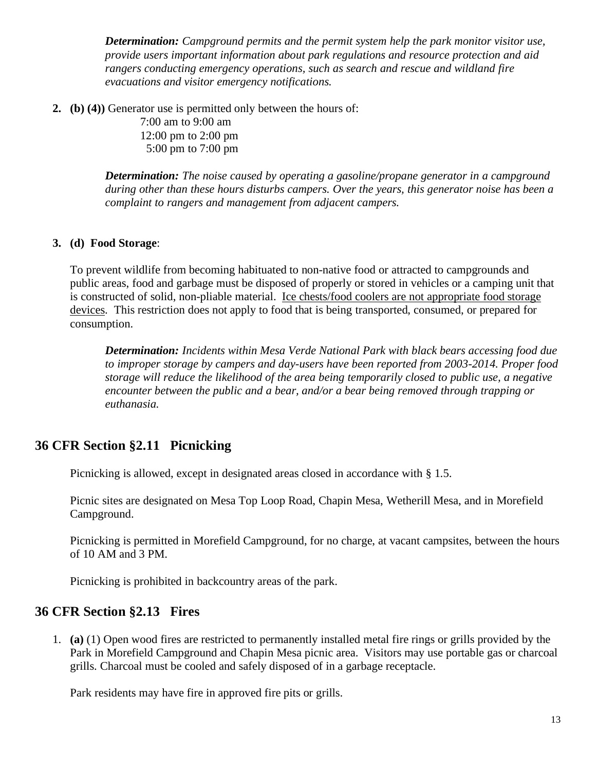*Determination: Campground permits and the permit system help the park monitor visitor use, provide users important information about park regulations and resource protection and aid rangers conducting emergency operations, such as search and rescue and wildland fire evacuations and visitor emergency notifications.*

**2. (b) (4))** Generator use is permitted only between the hours of:

7:00 am to 9:00 am 12:00 pm to 2:00 pm 5:00 pm to 7:00 pm

*Determination: The noise caused by operating a gasoline/propane generator in a campground during other than these hours disturbs campers. Over the years, this generator noise has been a complaint to rangers and management from adjacent campers.*

#### **3. (d) Food Storage**:

To prevent wildlife from becoming habituated to non-native food or attracted to campgrounds and public areas, food and garbage must be disposed of properly or stored in vehicles or a camping unit that is constructed of solid, non-pliable material. Ice chests/food coolers are not appropriate food storage devices. This restriction does not apply to food that is being transported, consumed, or prepared for consumption.

*Determination: Incidents within Mesa Verde National Park with black bears accessing food due to improper storage by campers and day-users have been reported from 2003-2014. Proper food storage will reduce the likelihood of the area being temporarily closed to public use, a negative encounter between the public and a bear, and/or a bear being removed through trapping or euthanasia.*

# **36 CFR Section §2.11 Picnicking**

Picnicking is allowed, except in designated areas closed in accordance with [§ 1.5.](https://www.law.cornell.edu/cfr/text/36/1.5)

Picnic sites are designated on Mesa Top Loop Road, Chapin Mesa, Wetherill Mesa, and in Morefield Campground.

Picnicking is permitted in Morefield Campground, for no charge, at vacant campsites, between the hours of 10 AM and 3 PM.

Picnicking is prohibited in backcountry areas of the park.

## **36 CFR Section §2.13 Fires**

1. **(a)** (1) Open wood fires are restricted to permanently installed metal fire rings or grills provided by the Park in Morefield Campground and Chapin Mesa picnic area. Visitors may use portable gas or charcoal grills. Charcoal must be cooled and safely disposed of in a garbage receptacle.

Park residents may have fire in approved fire pits or grills.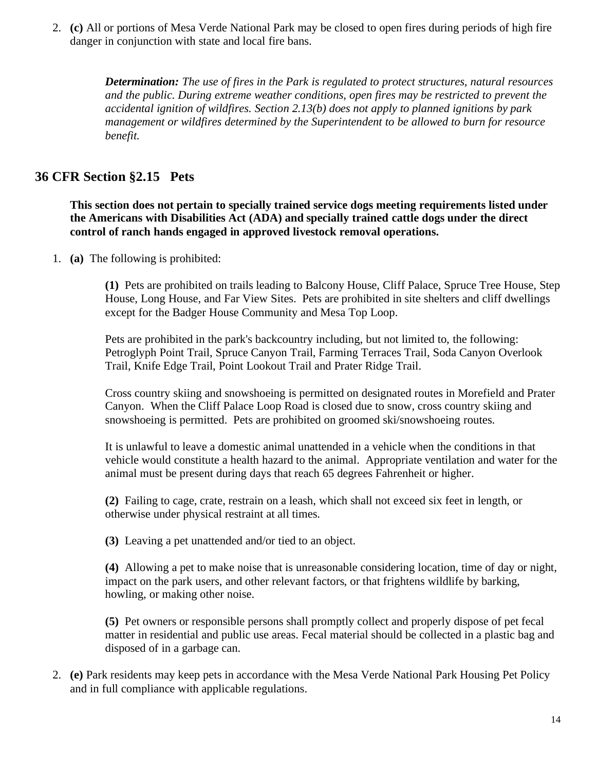2. **(c)** All or portions of Mesa Verde National Park may be closed to open fires during periods of high fire danger in conjunction with state and local fire bans.

> *Determination: The use of fires in the Park is regulated to protect structures, natural resources and the public. During extreme weather conditions, open fires may be restricted to prevent the accidental ignition of wildfires. Section 2.13(b) does not apply to planned ignitions by park management or wildfires determined by the Superintendent to be allowed to burn for resource benefit.*

### **36 CFR Section §2.15 Pets**

**This section does not pertain to specially trained service dogs meeting requirements listed under the Americans with Disabilities Act (ADA) and specially trained cattle dogs under the direct control of ranch hands engaged in approved livestock removal operations.** 

1. **(a)** The following is prohibited:

**(1)** Pets are prohibited on trails leading to Balcony House, Cliff Palace, Spruce Tree House, Step House, Long House, and Far View Sites. Pets are prohibited in site shelters and cliff dwellings except for the Badger House Community and Mesa Top Loop.

Pets are prohibited in the park's backcountry including, but not limited to, the following: Petroglyph Point Trail, Spruce Canyon Trail, Farming Terraces Trail, Soda Canyon Overlook Trail, Knife Edge Trail, Point Lookout Trail and Prater Ridge Trail.

Cross country skiing and snowshoeing is permitted on designated routes in Morefield and Prater Canyon. When the Cliff Palace Loop Road is closed due to snow, cross country skiing and snowshoeing is permitted. Pets are prohibited on groomed ski/snowshoeing routes.

It is unlawful to leave a domestic animal unattended in a vehicle when the conditions in that vehicle would constitute a health hazard to the animal. Appropriate ventilation and water for the animal must be present during days that reach 65 degrees Fahrenheit or higher.

**(2)** Failing to cage, crate, restrain on a leash, which shall not exceed six feet in length, or otherwise under physical restraint at all times.

**(3)** Leaving a pet unattended and/or tied to an object.

**(4)** Allowing a pet to make noise that is unreasonable considering location, time of day or night, impact on the park users, and other relevant factors, or that frightens wildlife by barking, howling, or making other noise.

**(5)** Pet owners or responsible persons shall promptly collect and properly dispose of pet fecal matter in residential and public use areas. Fecal material should be collected in a plastic bag and disposed of in a garbage can.

2. **(e)** Park residents may keep pets in accordance with the Mesa Verde National Park Housing Pet Policy and in full compliance with applicable regulations.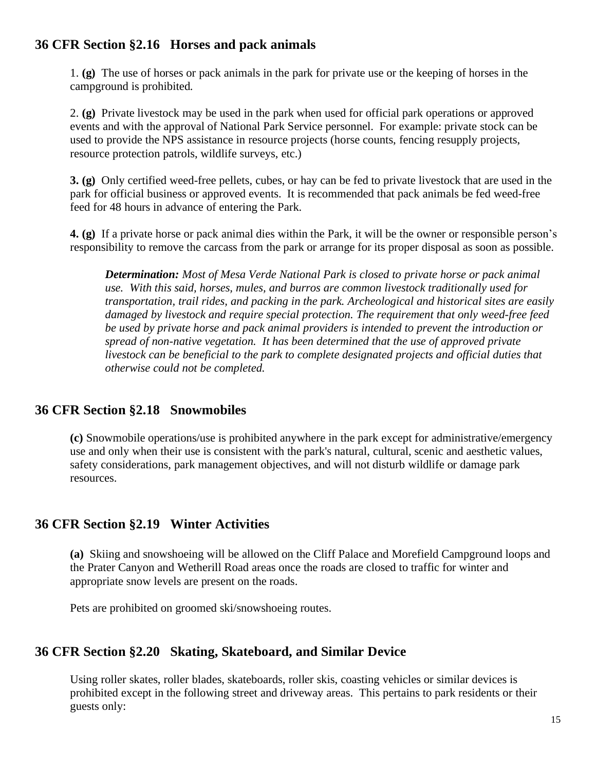### **36 CFR Section §2.16 Horses and pack animals**

1. **(g)** The use of horses or pack animals in the park for private use or the keeping of horses in the campground is prohibited.

2. **(g)** Private livestock may be used in the park when used for official park operations or approved events and with the approval of National Park Service personnel. For example: private stock can be used to provide the NPS assistance in resource projects (horse counts, fencing resupply projects, resource protection patrols, wildlife surveys, etc.)

**3. (g)** Only certified weed-free pellets, cubes, or hay can be fed to private livestock that are used in the park for official business or approved events. It is recommended that pack animals be fed weed-free feed for 48 hours in advance of entering the Park.

**4. (g)** If a private horse or pack animal dies within the Park, it will be the owner or responsible person's responsibility to remove the carcass from the park or arrange for its proper disposal as soon as possible.

*Determination: Most of Mesa Verde National Park is closed to private horse or pack animal use. With this said, horses, mules, and burros are common livestock traditionally used for transportation, trail rides, and packing in the park. Archeological and historical sites are easily damaged by livestock and require special protection. The requirement that only weed-free feed be used by private horse and pack animal providers is intended to prevent the introduction or spread of non-native vegetation. It has been determined that the use of approved private livestock can be beneficial to the park to complete designated projects and official duties that otherwise could not be completed.*

#### **36 CFR Section §2.18 Snowmobiles**

**(c)** Snowmobile operations/use is prohibited anywhere in the park except for administrative/emergency use and only when their use is consistent with the park's natural, cultural, scenic and aesthetic values, safety considerations, park management objectives, and will not disturb [wildlife](https://www.law.cornell.edu/definitions/index.php?width=840&height=800&iframe=true&def_id=d3545c7e6b36a4e95d293dc282672bdc&term_occur=1&term_src=Title:36:Chapter:I:Part:2:2.18) or damage park resources.

## **36 CFR Section §2.19 Winter Activities**

**(a)** Skiing and snowshoeing will be allowed on the Cliff Palace and Morefield Campground loops and the Prater Canyon and Wetherill Road areas once the roads are closed to traffic for winter and appropriate snow levels are present on the roads.

Pets are prohibited on groomed ski/snowshoeing routes.

## **36 CFR Section §2.20 Skating, Skateboard, and Similar Device**

Using roller skates, roller blades, skateboards, roller skis, coasting vehicles or similar devices is prohibited except in the following street and driveway areas. This pertains to park residents or their guests only: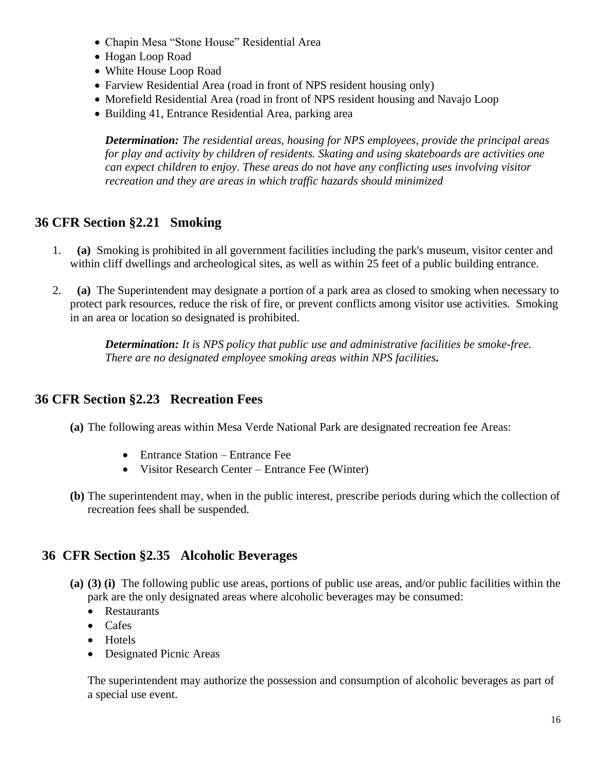- Chapin Mesa "Stone House" Residential Area
- Hogan Loop Road
- White House Loop Road
- Farview Residential Area (road in front of NPS resident housing only)
- Morefield Residential Area (road in front of NPS resident housing and Navajo Loop
- Building 41, Entrance Residential Area, parking area

*Determination: The residential areas, housing for NPS employees, provide the principal areas for play and activity by children of residents. Skating and using skateboards are activities one can expect children to enjoy. These areas do not have any conflicting uses involving visitor recreation and they are areas in which traffic hazards should minimized*

## **36 CFR Section §2.21 Smoking**

- 1. **(a)** Smoking is prohibited in all government facilities including the park's museum, visitor center and within cliff dwellings and archeological sites, as well as within 25 feet of a public building entrance.
- 2. **(a)** The Superintendent may designate a portion of a park area as closed to smoking when necessary to protect park resources, reduce the risk of fire, or prevent conflicts among visitor use activities. Smoking in an area or location so designated is prohibited.

*Determination: It is NPS policy that public use and administrative facilities be smoke-free. There are no designated employee smoking areas within NPS facilities***.**

## **36 CFR Section §2.23 Recreation Fees**

- **(a)** The following areas within Mesa Verde National Park are designated recreation fee Areas:
	- Entrance Station Entrance Fee
	- Visitor Research Center Entrance Fee (Winter)
- **(b)** The superintendent may, when in the public interest, prescribe periods during which the collection of recreation fees shall be suspended.

## **36 CFR Section §2.35 Alcoholic Beverages**

- **(a) (3) (i)** The following public use areas, portions of public use areas, and/or public facilities within the park are the only designated areas where alcoholic beverages may be consumed:
	- Restaurants
	- Cafes
	- Hotels
	- Designated Picnic Areas

The superintendent may authorize the possession and consumption of alcoholic beverages as part of a special use event.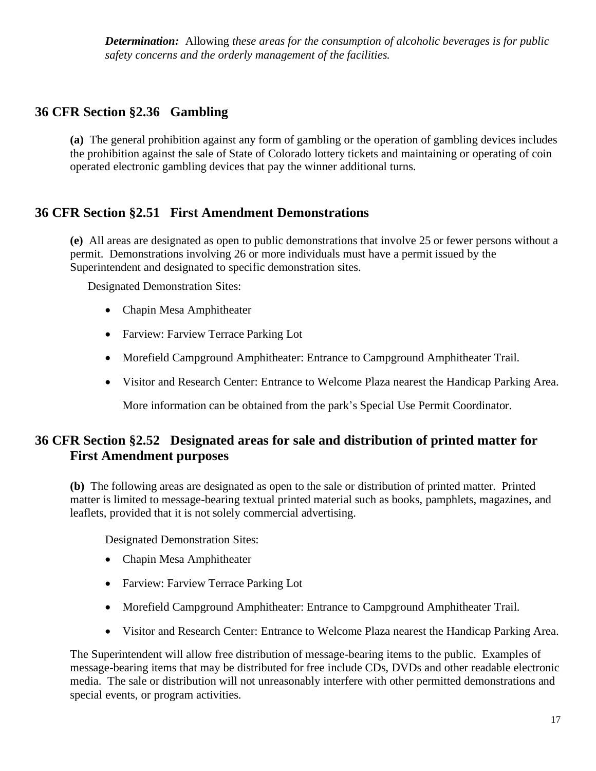*Determination:* Allowing *these areas for the consumption of alcoholic beverages is for public safety concerns and the orderly management of the facilities.*

# **36 CFR Section §2.36 Gambling**

**(a)** The general prohibition against any form of gambling or the operation of gambling devices includes the prohibition against the sale of State of Colorado lottery tickets and maintaining or operating of coin operated electronic gambling devices that pay the winner additional turns.

# **36 CFR Section §2.51 First Amendment Demonstrations**

**(e)** All areas are designated as open to public demonstrations that involve 25 or fewer persons without a permit. Demonstrations involving 26 or more individuals must have a permit issued by the Superintendent and designated to specific demonstration sites.

Designated Demonstration Sites:

- Chapin Mesa Amphitheater
- Farview: Farview Terrace Parking Lot
- Morefield Campground Amphitheater: Entrance to Campground Amphitheater Trail.
- Visitor and Research Center: Entrance to Welcome Plaza nearest the Handicap Parking Area.

More information can be obtained from the park's Special Use Permit Coordinator.

# **36 CFR Section §2.52 Designated areas for sale and distribution of printed matter for First Amendment purposes**

**(b)** The following areas are designated as open to the sale or distribution of printed matter. Printed matter is limited to message-bearing textual printed material such as books, pamphlets, magazines, and leaflets, provided that it is not solely commercial advertising.

Designated Demonstration Sites:

- Chapin Mesa Amphitheater
- Farview: Farview Terrace Parking Lot
- Morefield Campground Amphitheater: Entrance to Campground Amphitheater Trail.
- Visitor and Research Center: Entrance to Welcome Plaza nearest the Handicap Parking Area.

The Superintendent will allow free distribution of message-bearing items to the public. Examples of message-bearing items that may be distributed for free include CDs, DVDs and other readable electronic media. The sale or distribution will not unreasonably interfere with other permitted demonstrations and special events, or program activities.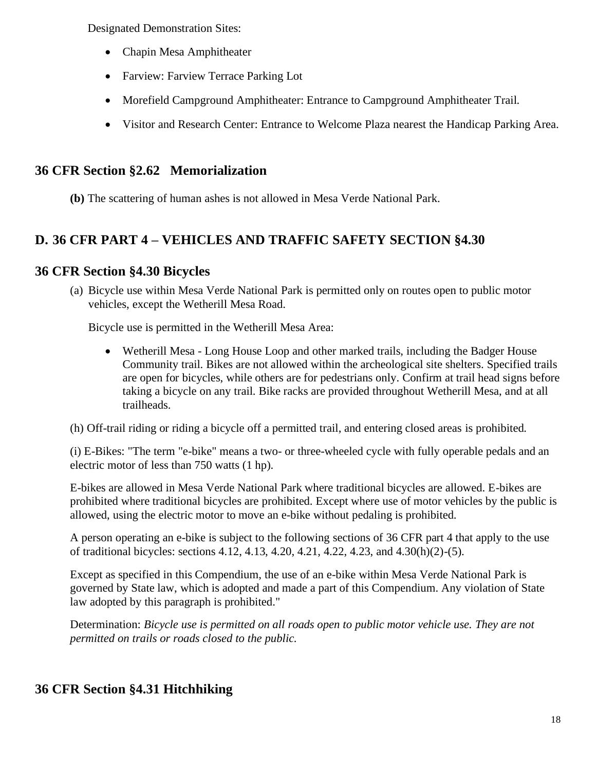Designated Demonstration Sites:

- Chapin Mesa Amphitheater
- Farview: Farview Terrace Parking Lot
- Morefield Campground Amphitheater: Entrance to Campground Amphitheater Trail.
- Visitor and Research Center: Entrance to Welcome Plaza nearest the Handicap Parking Area.

# **36 CFR Section §2.62 Memorialization**

**(b)** The scattering of human ashes is not allowed in Mesa Verde National Park.

# **D. 36 CFR PART 4 – VEHICLES AND TRAFFIC SAFETY SECTION §4.30**

# **36 CFR Section §4.30 Bicycles**

(a) Bicycle use within Mesa Verde National Park is permitted only on routes open to public motor vehicles, except the Wetherill Mesa Road.

Bicycle use is permitted in the Wetherill Mesa Area:

• Wetherill Mesa - Long House Loop and other marked trails, including the Badger House Community trail. Bikes are not allowed within the archeological site shelters. Specified trails are open for bicycles, while others are for pedestrians only. Confirm at trail head signs before taking a bicycle on any trail. Bike racks are provided throughout Wetherill Mesa, and at all trailheads.

(h) Off-trail riding or riding a bicycle off a permitted trail, and entering closed areas is prohibited.

(i) E-Bikes: "The term "e-bike" means a two- or three-wheeled cycle with fully operable pedals and an electric motor of less than 750 watts (1 hp).

E-bikes are allowed in Mesa Verde National Park where traditional bicycles are allowed. E-bikes are prohibited where traditional bicycles are prohibited. Except where use of motor vehicles by the public is allowed, using the electric motor to move an e-bike without pedaling is prohibited.

A person operating an e-bike is subject to the following sections of 36 CFR part 4 that apply to the use of traditional bicycles: sections 4.12, 4.13, 4.20, 4.21, 4.22, 4.23, and 4.30(h)(2)-(5).

Except as specified in this Compendium, the use of an e-bike within Mesa Verde National Park is governed by State law, which is adopted and made a part of this Compendium. Any violation of State law adopted by this paragraph is prohibited."

Determination: *Bicycle use is permitted on all roads open to public motor vehicle use. They are not permitted on trails or roads closed to the public.*

# **36 CFR Section §4.31 Hitchhiking**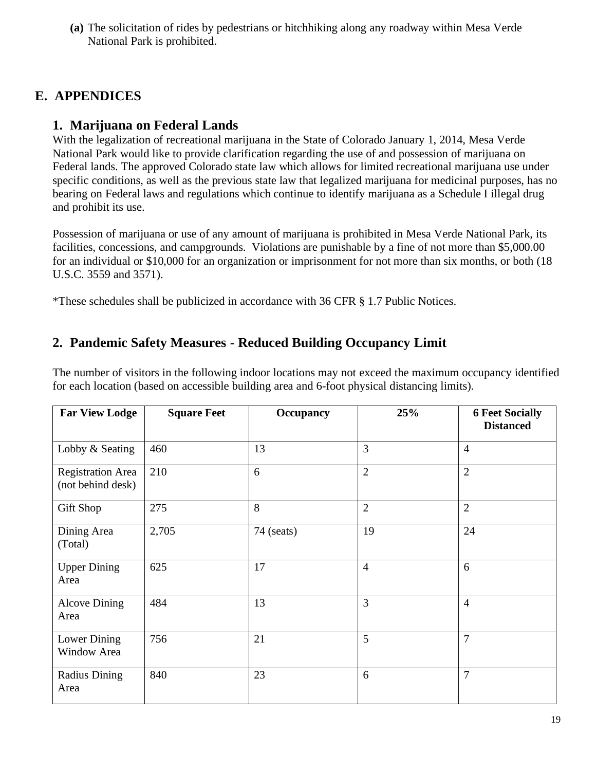**(a)** The solicitation of rides by pedestrians or hitchhiking along any roadway within Mesa Verde National Park is prohibited.

# **E. APPENDICES**

## **1. Marijuana on Federal Lands**

With the legalization of recreational marijuana in the State of Colorado January 1, 2014, Mesa Verde National Park would like to provide clarification regarding the use of and possession of marijuana on Federal lands. The approved Colorado state law which allows for limited recreational marijuana use under specific conditions, as well as the previous state law that legalized marijuana for medicinal purposes, has no bearing on Federal laws and regulations which continue to identify marijuana as a Schedule I illegal drug and prohibit its use.

Possession of marijuana or use of any amount of marijuana is prohibited in Mesa Verde National Park, its facilities, concessions, and campgrounds. Violations are punishable by a fine of not more than \$5,000.00 for an individual or \$10,000 for an organization or imprisonment for not more than six months, or both (18 U.S.C. 3559 and 3571).

\*These schedules shall be publicized in accordance with 36 CFR § 1.7 Public Notices.

# **2. Pandemic Safety Measures - Reduced Building Occupancy Limit**

The number of visitors in the following indoor locations may not exceed the maximum occupancy identified for each location (based on accessible building area and 6-foot physical distancing limits).

| <b>Far View Lodge</b>                         | <b>Square Feet</b> | <b>Occupancy</b> | 25%            | <b>6 Feet Socially</b><br><b>Distanced</b> |
|-----------------------------------------------|--------------------|------------------|----------------|--------------------------------------------|
| Lobby & Seating                               | 460                | 13               | 3              | $\overline{4}$                             |
| <b>Registration Area</b><br>(not behind desk) | 210                | 6                | $\overline{2}$ | $\overline{2}$                             |
| <b>Gift Shop</b>                              | 275                | 8                | $\overline{2}$ | $\overline{2}$                             |
| Dining Area<br>(Total)                        | 2,705              | 74 (seats)       | 19             | 24                                         |
| <b>Upper Dining</b><br>Area                   | 625                | 17               | $\overline{4}$ | 6                                          |
| <b>Alcove Dining</b><br>Area                  | 484                | 13               | 3              | $\overline{4}$                             |
| <b>Lower Dining</b><br>Window Area            | 756                | 21               | 5              | 7                                          |
| <b>Radius Dining</b><br>Area                  | 840                | 23               | 6              | $\overline{7}$                             |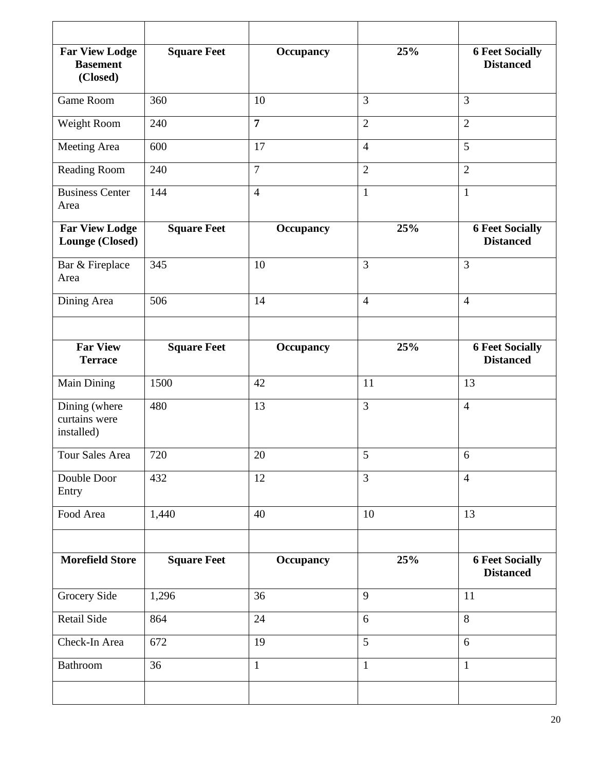| <b>Far View Lodge</b><br><b>Basement</b><br>(Closed) | <b>Square Feet</b> | <b>Occupancy</b> | 25%            | <b>6 Feet Socially</b><br><b>Distanced</b> |
|------------------------------------------------------|--------------------|------------------|----------------|--------------------------------------------|
| Game Room                                            | 360                | 10               | 3              | 3                                          |
| Weight Room                                          | 240                | $\overline{7}$   | $\overline{2}$ | $\overline{2}$                             |
| Meeting Area                                         | 600                | 17               | $\overline{4}$ | 5                                          |
| Reading Room                                         | 240                | $\tau$           | $\overline{2}$ | $\overline{2}$                             |
| <b>Business Center</b><br>Area                       | 144                | $\overline{4}$   | $\mathbf{1}$   | $\mathbf{1}$                               |
| <b>Far View Lodge</b><br>Lounge (Closed)             | <b>Square Feet</b> | <b>Occupancy</b> | 25%            | <b>6 Feet Socially</b><br><b>Distanced</b> |
| Bar & Fireplace<br>Area                              | 345                | 10               | $\overline{3}$ | 3                                          |
| Dining Area                                          | 506                | 14               | $\overline{4}$ | $\overline{4}$                             |
|                                                      |                    |                  |                |                                            |
| <b>Far View</b><br><b>Terrace</b>                    | <b>Square Feet</b> | <b>Occupancy</b> | 25%            | <b>6 Feet Socially</b><br><b>Distanced</b> |
| Main Dining                                          | 1500               | 42               | 11             | 13                                         |
| Dining (where<br>curtains were<br>installed)         | 480                | 13               | $\overline{3}$ | $\overline{4}$                             |
| Tour Sales Area                                      | 720                | 20               | 5              | 6                                          |
| Double Door<br>Entry                                 | 432                | 12               | $\overline{3}$ | $\overline{4}$                             |
| Food Area                                            | 1,440              | 40               | 10             | 13                                         |
|                                                      |                    |                  |                |                                            |
| <b>Morefield Store</b>                               | <b>Square Feet</b> | <b>Occupancy</b> | 25%            | <b>6 Feet Socially</b><br><b>Distanced</b> |
| Grocery Side                                         | 1,296              | 36               | 9              | 11                                         |
| <b>Retail Side</b>                                   | 864                | 24               | 6              | 8                                          |
| Check-In Area                                        | 672                | 19               | 5              | 6                                          |
| Bathroom                                             | 36                 | $\mathbf{1}$     | $\mathbf{1}$   | $\mathbf{1}$                               |
|                                                      |                    |                  |                |                                            |